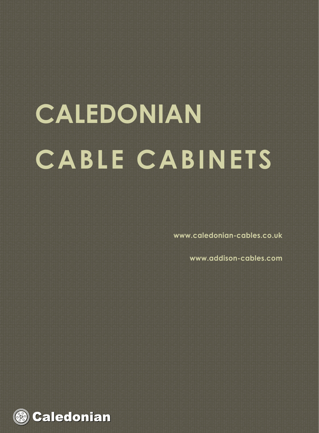# **CALEDONIAN CABLE CABINETS**

**www.caledonian-cables.co.uk**

**www.addison-cables.com**

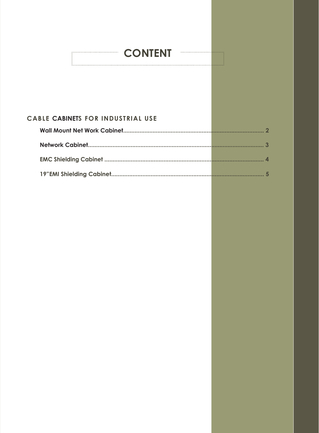## **CONTENT COMPANY**

## CABLE CABINETS FOR INDUSTRIAL USE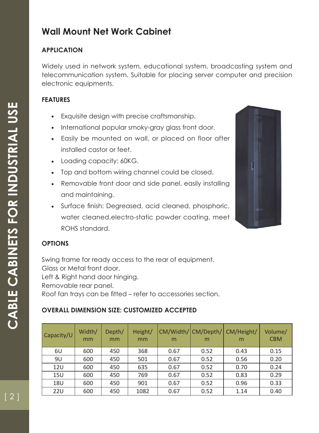## **Wall Mount Net Work Cabinet**

## **APPLICATION**

Widely used in network system, educational system, broadcasting system and telecommunication system. Suitable for placing server computer and precision electronic equipments.

## **FEATURES**

- Exquisite design with precise craftsmanship.
- International popular smoky-gray glass front door.
- Easily be mounted on wall, or placed on floor after installed castor or feet.
- Loading capacity: 60KG.
- Top and bottom wiring channel could be closed.
- Removable front door and side panel, easily installing and maintaining.
- Surface finish: Degreased, acid cleaned, phosphoric, water cleaned,electro-static powder coating, meet ROHS standard.



## **OPTIONS**

Swing frame for ready access to the rear of equipment. Glass or Metal front door. Left & Right hand door hinging. Removable rear panel. Roof fan trays can be fitted – refer to accessories section.

## **OVERALL DIMENSION SIZE: CUSTOMIZED ACCEPTED**

| Capacity/U | Width/<br>mm | Depth/<br>mm | Height/<br>mm | CM/Width/ CM/Depth/<br>m | m    | CM/Height/<br>m | Volume/<br><b>CBM</b> |
|------------|--------------|--------------|---------------|--------------------------|------|-----------------|-----------------------|
| 6U         | 600          | 450          | 368           | 0.67                     | 0.52 | 0.43            | 0.15                  |
| 9U         | 600          | 450          | 501           | 0.67                     | 0.52 | 0.56            | 0.20                  |
| 12U        | 600          | 450          | 635           | 0.67                     | 0.52 | 0.70            | 0.24                  |
| 15U        | 600          | 450          | 769           | 0.67                     | 0.52 | 0.83            | 0.29                  |
| <b>18U</b> | 600          | 450          | 901           | 0.67                     | 0.52 | 0.96            | 0.33                  |
| <b>22U</b> | 600          | 450          | 1082          | 0.67                     | 0.52 | 1.14            | 0.40                  |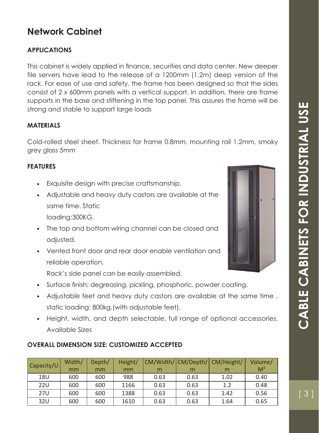## **Network Cabinet**

## **APPLICATIONS**

This cabinet is widely applied in finance, securities and data center. New deeper file servers have lead to the release of a 1200mm (1.2m) deep version of the rack. For ease of use and safety, the frame has been designed so that the sides consist of 2 x 600mm panels with a vertical support. In addition, there are frame supports in the base and stiffening in the top panel. This assures the frame will be strong and stable to support large loads

#### **MATERIALS**

Cold-rolled steel sheet. Thickness for frame 0.8mm, mounting rail 1.2mm, smoky grey glass 5mm

#### **FEATURES**

- Exquisite design with precise craftsmanship.
- Adjustable and heavy duty castors are available at the same time. Static
	- loading:300KG.
- The top and bottom wiring channel can be closed and adjusted.
- Vented front door and rear door enable ventilation and reliable operation.

Rack's side panel can be easily assembled.

- Surface finish: degreasing, pickling, phosphoric, powder coating.
- Adjustable feet and heavy duty castors are available at the same time , static loading: 800kg.(with adjustable feet).
- Height, width, and depth selectable, full range of optional accessories. Available Sizes

#### **OVERALL DIMENSION SIZE: CUSTOMIZED ACCEPTED**

| Capacity/U | Width/ | Depth/ | Height/ |      |      | CM/Width/ CM/Depth/ CM/Height/ | Volume/        |
|------------|--------|--------|---------|------|------|--------------------------------|----------------|
|            | mm     | mm     | mm      | m    | m    | m                              | M <sup>3</sup> |
| 18U        | 600    | 600    | 988     | 0.63 | 0.63 | 1.02                           | 0.40           |
| <b>22U</b> | 600    | 600    | 1166    | 0.63 | 0.63 | 1.2                            | 0.48           |
| <b>27U</b> | 600    | 600    | 1388    | 0.63 | 0.63 | 1.42                           | 0.56           |
| 32U        | 600    | 600    | 1610    | 0.63 | 0.63 | 1.64                           | 0.65           |

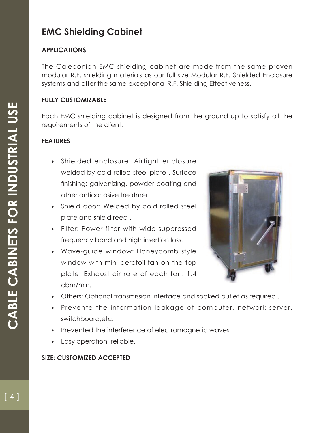## **EMC Shielding Cabinet**

## **APPLICATIONS**

The Caledonian EMC shielding cabinet are made from the same proven modular R.F. shielding materials as our full size Modular R.F. Shielded Enclosure systems and offer the same exceptional R.F. Shielding Effectiveness.

## **FULLY CUSTOMIZABLE**

Each EMC shielding cabinet is designed from the ground up to satisfy all the requirements of the client.

## **FEATURES**

- Shielded enclosure: Airtight enclosure welded by cold rolled steel plate . Surface finishing: galvanizing, powder coating and other anticorrosive treatment.
- Shield door: Welded by cold rolled steel plate and shield reed .
- Filter: Power filter with wide suppressed frequency band and high insertion loss.
- Wave-guide window: Honeycomb style window with mini aerofoil fan on the top plate. Exhaust air rate of each fan: 1.4 cbm/min.



- Others: Optional transmission interface and socked outlet as required .
- Prevente the information leakage of computer, network server, switchboard,etc.
- Prevented the interference of electromagnetic waves .
- Easy operation, reliable.

#### **SIZE: CUSTOMIZED ACCEPTED**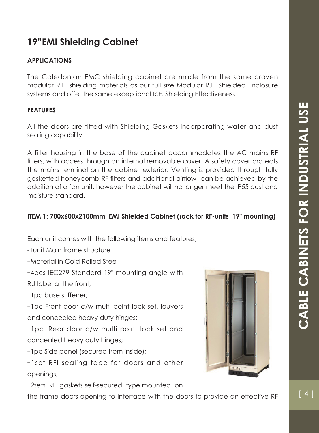## **19"EMI Shielding Cabinet**

## **APPLICATIONS**

The Caledonian EMC shielding cabinet are made from the same proven modular R.F. shielding materials as our full size Modular R.F. Shielded Enclosure systems and offer the same exceptional R.F. Shielding Effectiveness

#### **FEATURES**

All the doors are fitted with Shielding Gaskets incorporating water and dust sealing capability.

A filter housing in the base of the cabinet accommodates the AC mains RF filters, with access through an internal removable cover. A safety cover protects the mains terminal on the cabinet exterior. Venting is provided through fully gasketted honeycomb RF filters and additional airflow can be achieved by the addition of a fan unit, however the cabinet will no longer meet the IP55 dust and moisture standard.

### **ITEM 1: 700x600x2100mm EMI Shielded Cabinet (rack for RF-units 19" mounting)**

Each unit comes with the following items and features;

-1unit Main frame structure

-Material in Cold Rolled Steel

-4pcs IEC279 Standard 19" mounting angle with RU label at the front;

-1pc base stiffener;

-1pc Front door c/w multi point lock set, louvers and concealed heavy duty hinges;

-1pc Rear door c/w multi point lock set and concealed heavy duty hinges;

-1pc Side panel (secured from inside);

-1set RFI sealing tape for doors and other openings;

-2sets, RFI gaskets self-secured type mounted on

the frame doors opening to interface with the doors to provide an effective RF

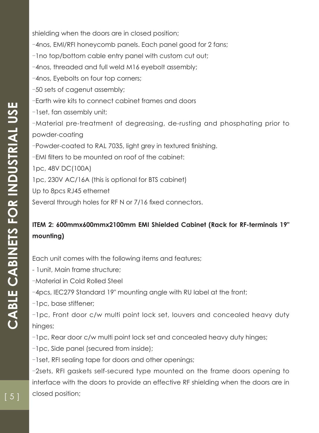shielding when the doors are in closed position; -4nos, EMI/RFI honeycomb panels. Each panel good for 2 fans; -1no top/bottom cable entry panel with custom cut out; -4nos, threaded and full weld M16 eyebolt assembly; -4nos, Eyebolts on four top corners; -50 sets of cagenut assembly; -Earth wire kits to connect cabinet frames and doors -1set, fan assembly unit; -Material pre-treatment of degreasing, de-rusting and phosphating prior to powder-coating -Powder-coated to RAL 7035, light grey in textured finishing. -EMI filters to be mounted on roof of the cabinet: 1pc, 48V DC(100A) 1pc, 230V AC/16A (this is optional for BTS cabinet) Up to 8pcs RJ45 ethernet Several through holes for RF N or 7/16 fixed connectors.

## **ITEM 2: 600mmx600mmx2100mm EMI Shielded Cabinet (Rack for RF-terminals 19" mounting)**

Each unit comes with the following items and features;

- 1unit, Main frame structure;

-Material in Cold Rolled Steel

-4pcs, IEC279 Standard 19" mounting angle with RU label at the front;

-1pc, base stiffener;

-1pc, Front door c/w multi point lock set, louvers and concealed heavy duty hinges;

-1pc, Rear door c/w multi point lock set and concealed heavy duty hinges;

-1pc, Side panel (secured from inside);

-1set, RFI sealing tape for doors and other openings;

-2sets, RFI gaskets self-secured type mounted on the frame doors opening to interface with the doors to provide an effective RF shielding when the doors are in closed position;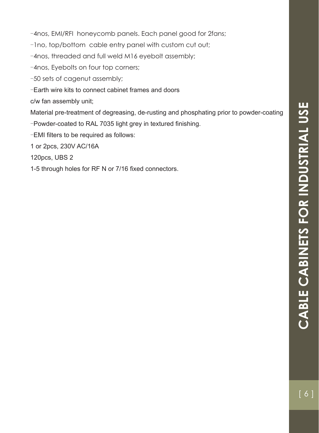-4nos, EMI/RFI honeycomb panels. Each panel good for 2fans;

-1no, top/bottom cable entry panel with custom cut out;

-4nos, threaded and full weld M16 eyebolt assembly;

-4nos, Eyebolts on four top corners;

-50 sets of cagenut assembly;

-Earth wire kits to connect cabinet frames and doors

c/w fan assembly unit;

Material pre-treatment of degreasing, de-rusting and phosphating prior to powder-coating -Powder-coated to RAL 7035 light grey in textured finishing.

 $-EMI$  filters to be required as follows:

1 or 2pcs, 230V AC/16A

120pcs, UBS 2

1-5 through holes for RF N or 7/16 fixed connectors.